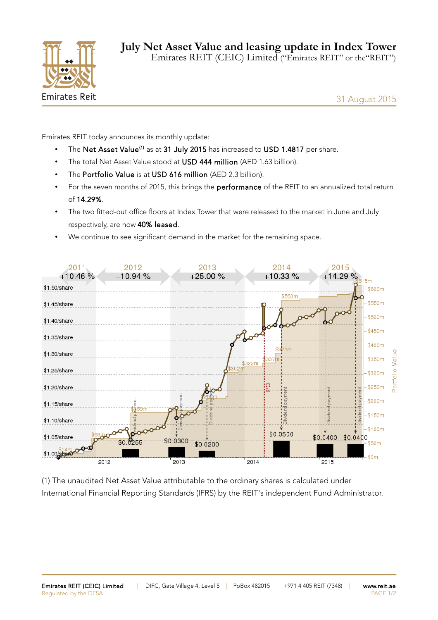

31 August 2015

Emirates REIT today announces its monthly update:

- The Net Asset Value<sup>(1)</sup> as at 31 July 2015 has increased to USD 1.4817 per share.
- The total Net Asset Value stood at USD 444 million (AED 1.63 billion).
- The Portfolio Value is at USD 616 million (AED 2.3 billion).
- For the seven months of 2015, this brings the performance of the REIT to an annualized total return of 14.29%.
- The two fitted-out office floors at Index Tower that were released to the market in June and July respectively, are now 40% leased.
- We continue to see significant demand in the market for the remaining space.



(1) The unaudited Net Asset Value attributable to the ordinary shares is calculated under International Financial Reporting Standards (IFRS) by the REIT's independent Fund Administrator.